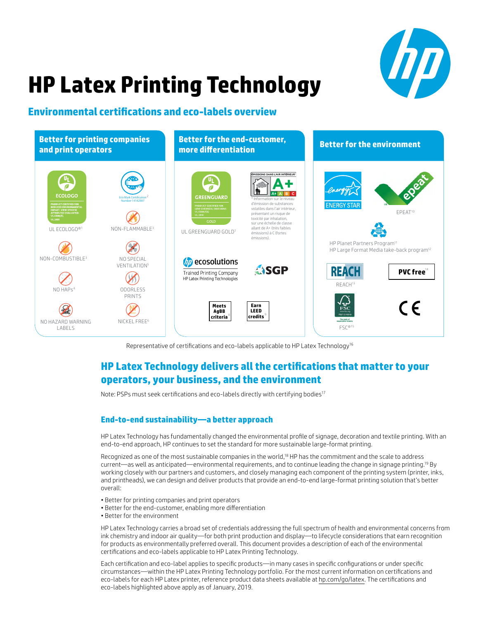

# **HP Latex Printing Technology**

# **Environmental certifications and eco-labels overview**



Representative of certifications and eco-labels applicable to HP Latex Technology<sup>16</sup>

# **HP Latex Technology delivers all the certifications that matter to your operators, your business, and the environment**

Note: PSPs must seek certifications and eco-labels directly with certifying bodies<sup>17</sup>

# **End-to-end sustainability—a better approach**

HP Latex Technology has fundamentally changed the environmental profile of signage, decoration and textile printing. With an end-to-end approach, HP continues to set the standard for more sustainable large-format printing.

Recognized as one of the most sustainable companies in the world,<sup>18</sup> HP has the commitment and the scale to address current—as well as anticipated—environmental requirements, and to continue leading the change in signage printing.19 By working closely with our partners and customers, and closely managing each component of the printing system (printer, inks, and printheads), we can design and deliver products that provide an end-to-end large-format printing solution that's better overall:

- Better for printing companies and print operators
- Better for the end-customer, enabling more differentiation
- Better for the environment

HP Latex Technology carries a broad set of credentials addressing the full spectrum of health and environmental concerns from ink chemistry and indoor air quality—for both print production and display—to lifecycle considerations that earn recognition for products as environmentally preferred overall. This document provides a description of each of the environmental certifications and eco-labels applicable to HP Latex Printing Technology.

Each certification and eco-label applies to specific products—in many cases in specific configurations or under specific circumstances—within the HP Latex Printing Technology portfolio. For the most current information on certifications and eco-labels for each HP Latex printer, reference product data sheets available at [hp.com/go/latex](http://hp.com/go/latex). The certifications and eco-labels highlighted above apply as of January, 2019.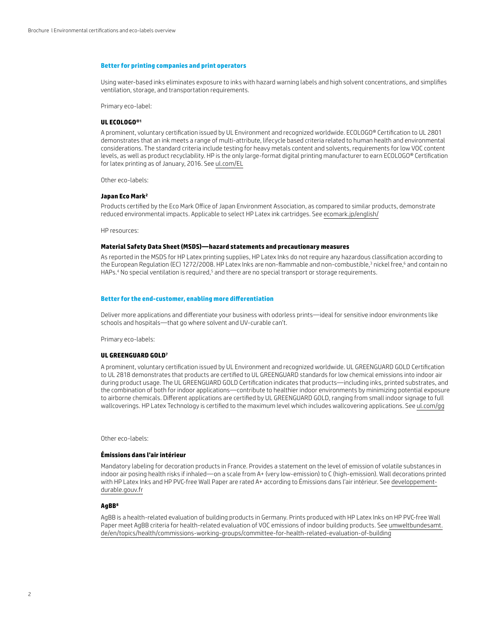#### **Better for printing companies and print operators**

Using water-based inks eliminates exposure to inks with hazard warning labels and high solvent concentrations, and simplifies ventilation, storage, and transportation requirements.

Primary eco-label:

# **UL ECOLOGO®1**

A prominent, voluntary certification issued by UL Environment and recognized worldwide. ECOLOGO® Certification to UL 2801 demonstrates that an ink meets a range of multi-attribute, lifecycle based criteria related to human health and environmental considerations. The standard criteria include testing for heavy metals content and solvents, requirements for low VOC content levels, as well as product recyclability. HP is the only large-format digital printing manufacturer to earn ECOLOGO® Certification for latex printing as of January, 2016. See [ul.com/EL](http://ul.com/EL)

Other eco-labels:

# **Japan Eco Mark2**

Products certified by the Eco Mark Office of Japan Environment Association, as compared to similar products, demonstrate reduced environmental impacts. Applicable to select HP Latex ink cartridges. See [ecomark.jp/english/](http://ecomark.jp/english/)

HP resources:

# **Material Safety Data Sheet (MSDS)—hazard statements and precautionary measures**

As reported in the MSDS for HP Latex printing supplies, HP Latex Inks do not require any hazardous classification according to the European Regulation (EC) 1272/2008. HP Latex Inks are non-flammable and non-combustible,<sup>3</sup> nickel free,<sup>6</sup> and contain no HAPs.4 No special ventilation is required,<sup>5</sup> and there are no special transport or storage requirements.

#### **Better for the end-customer, enabling more differentiation**

Deliver more applications and differentiate your business with odorless prints—ideal for sensitive indoor environments like schools and hospitals—that go where solvent and UV-curable can't.

Primary eco-labels:

#### **UL GREENGUARD GOLD7**

A prominent, voluntary certification issued by UL Environment and recognized worldwide. UL GREENGUARD GOLD Certification to UL 2818 demonstrates that products are certified to UL GREENGUARD standards for low chemical emissions into indoor air during product usage. The UL GREENGUARD GOLD Certification indicates that products—including inks, printed substrates, and the combination of both for indoor applications—contribute to healthier indoor environments by minimizing potential exposure to airborne chemicals. Different applications are certified by UL GREENGUARD GOLD, ranging from small indoor signage to full wallcoverings. HP Latex Technology is certified to the maximum level which includes wallcovering applications. See [ul.com/gg](http://ul.com/gg)

Other eco-labels:

### **Émissions dans l'air intérieur**

Mandatory labeling for decoration products in France. Provides a statement on the level of emission of volatile substances in indoor air posing health risks if inhaled—on a scale from A+ (very low-emission) to C (high-emission). Wall decorations printed with HP Latex Inks and HP PVC-free Wall Paper are rated A+ according to Émissions dans l'air intérieur. See [developpement](http://developpement-durable.gouv.fr)[durable.gouv.fr](http://developpement-durable.gouv.fr)

# **AgBB8**

AgBB is a health-related evaluation of building products in Germany. Prints produced with HP Latex Inks on HP PVC-free Wall Paper meet AgBB criteria for health-related evaluation of VOC emissions of indoor building products. See [umweltbundesamt.](http://umweltbundesamt.de/en/topics/health/commissions-working-groups/committee-for-health-related-evaluation-of-building) [de/en/topics/health/commissions-working-groups/committee-for-health-related-evaluation-of-building](http://umweltbundesamt.de/en/topics/health/commissions-working-groups/committee-for-health-related-evaluation-of-building)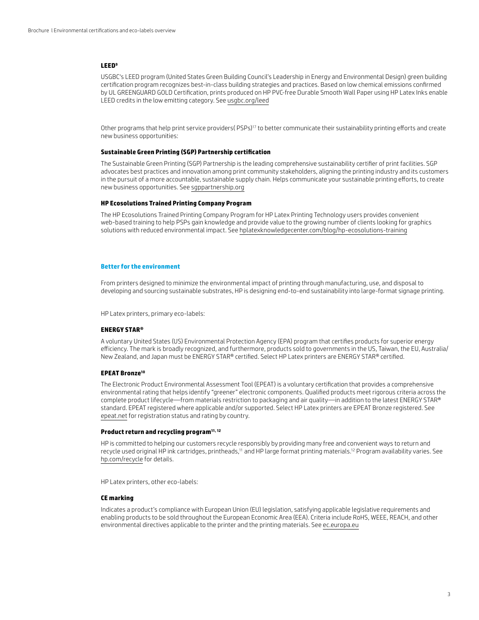# **LEED9**

USGBC's LEED program (United States Green Building Council's Leadership in Energy and Environmental Design) green building certification program recognizes best-in-class building strategies and practices. Based on low chemical emissions confirmed by UL GREENGUARD GOLD Certification, prints produced on HP PVC-free Durable Smooth Wall Paper using HP Latex Inks enable LEED credits in the low emitting category. See [usgbc.org/leed](http://usgbc.org/leed)

Other programs that help print service providers(PSPs)<sup>17</sup> to better communicate their sustainability printing efforts and create new business opportunities:

# **Sustainable Green Printing (SGP) Partnership certification**

The Sustainable Green Printing (SGP) Partnership is the leading comprehensive sustainability certifier of print facilities. SGP advocates best practices and innovation among print community stakeholders, aligning the printing industry and its customers in the pursuit of a more accountable, sustainable supply chain. Helps communicate your sustainable printing efforts, to create new business opportunities. See [sgppartnership.org](http://sgppartnership.org)

# **HP Ecosolutions Trained Printing Company Program**

The HP Ecosolutions Trained Printing Company Program for HP Latex Printing Technology users provides convenient web-based training to help PSPs gain knowledge and provide value to the growing number of clients looking for graphics solutions with reduced environmental impact. See [hplatexknowledgecenter.com/blog/hp-ecosolutions-training](http://hpecoprinting.intraconna.com/)

# **Better for the environment**

From printers designed to minimize the environmental impact of printing through manufacturing, use, and disposal to developing and sourcing sustainable substrates, HP is designing end-to-end sustainability into large-format signage printing.

HP Latex printers, primary eco-labels:

# **ENERGY STAR®**

A voluntary United States (US) Environmental Protection Agency (EPA) program that certifies products for superior energy efficiency. The mark is broadly recognized, and furthermore, products sold to governments in the US, Taiwan, the EU, Australia/ New Zealand, and Japan must be ENERGY STAR® certified. Select HP Latex printers are ENERGY STAR® certified.

# **EPEAT Bronze<sup>10</sup>**

The Electronic Product Environmental Assessment Tool (EPEAT) is a voluntary certification that provides a comprehensive environmental rating that helps identify "greener" electronic components. Qualified products meet rigorous criteria across the complete product lifecycle—from materials restriction to packaging and air quality—in addition to the latest ENERGY STAR® standard. EPEAT registered where applicable and/or supported. Select HP Latex printers are EPEAT Bronze registered. See [epeat.net](http://epeat.net) for registration status and rating by country.

# **Product return and recycling program11, 12**

HP is committed to helping our customers recycle responsibly by providing many free and convenient ways to return and recycle used original HP ink cartridges, printheads,<sup>11</sup> and HP large format printing materials.<sup>12</sup> Program availability varies. See [hp.com/recycle](http://hp.com/recycle) for details.

HP Latex printers, other eco-labels:

# **CE marking**

Indicates a product's compliance with European Union (EU) legislation, satisfying applicable legislative requirements and enabling products to be sold throughout the European Economic Area (EEA). Criteria include RoHS, WEEE, REACH, and other environmental directives applicable to the printer and the printing materials. See [ec.europa.eu](http://ec.europa.eu)